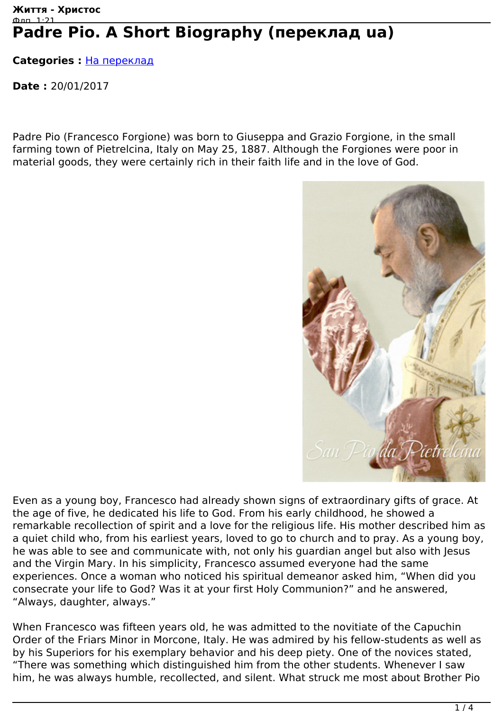## **Життя - Христос** Флп. 1:21 Padre Pio. A Short Biography (переклад ua)

**Categories :** [На переклад](http://live-christ.com/ua/category/proekty/na-pereklad)

**Date :** 20/01/2017

Padre Pio (Francesco Forgione) was born to Giuseppa and Grazio Forgione, in the small farming town of Pietrelcina, Italy on May 25, 1887. Although the Forgiones were poor in material goods, they were certainly rich in their faith life and in the love of God.



Even as a young boy, Francesco had already shown signs of extraordinary gifts of grace. At the age of five, he dedicated his life to God. From his early childhood, he showed a remarkable recollection of spirit and a love for the religious life. His mother described him as a quiet child who, from his earliest years, loved to go to church and to pray. As a young boy, he was able to see and communicate with, not only his guardian angel but also with Jesus and the Virgin Mary. In his simplicity, Francesco assumed everyone had the same experiences. Once a woman who noticed his spiritual demeanor asked him, "When did you consecrate your life to God? Was it at your first Holy Communion?" and he answered, "Always, daughter, always."

When Francesco was fifteen years old, he was admitted to the novitiate of the Capuchin Order of the Friars Minor in Morcone, Italy. He was admired by his fellow-students as well as by his Superiors for his exemplary behavior and his deep piety. One of the novices stated, "There was something which distinguished him from the other students. Whenever I saw him, he was always humble, recollected, and silent. What struck me most about Brother Pio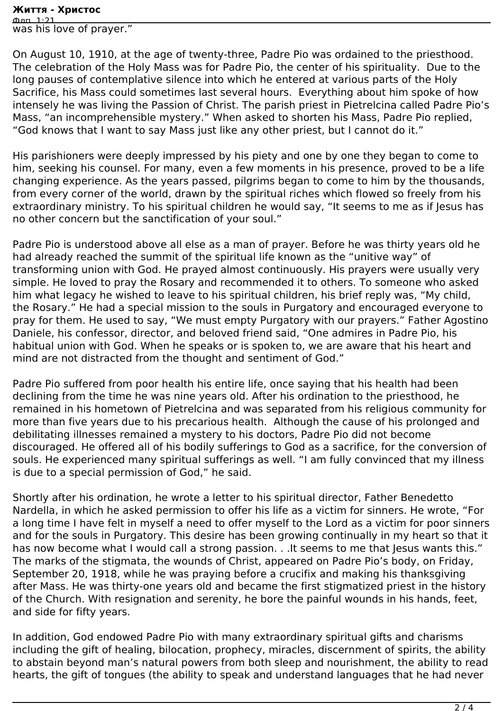## **Життя - Христос**

Флп. 1:21 was his love of prayer."

On August 10, 1910, at the age of twenty-three, Padre Pio was ordained to the priesthood. The celebration of the Holy Mass was for Padre Pio, the center of his spirituality. Due to the long pauses of contemplative silence into which he entered at various parts of the Holy Sacrifice, his Mass could sometimes last several hours. Everything about him spoke of how intensely he was living the Passion of Christ. The parish priest in Pietrelcina called Padre Pio's Mass, "an incomprehensible mystery." When asked to shorten his Mass, Padre Pio replied, "God knows that I want to say Mass just like any other priest, but I cannot do it."

His parishioners were deeply impressed by his piety and one by one they began to come to him, seeking his counsel. For many, even a few moments in his presence, proved to be a life changing experience. As the years passed, pilgrims began to come to him by the thousands, from every corner of the world, drawn by the spiritual riches which flowed so freely from his extraordinary ministry. To his spiritual children he would say, "It seems to me as if Jesus has no other concern but the sanctification of your soul."

Padre Pio is understood above all else as a man of prayer. Before he was thirty years old he had already reached the summit of the spiritual life known as the "unitive way" of transforming union with God. He prayed almost continuously. His prayers were usually very simple. He loved to pray the Rosary and recommended it to others. To someone who asked him what legacy he wished to leave to his spiritual children, his brief reply was, "My child, the Rosary." He had a special mission to the souls in Purgatory and encouraged everyone to pray for them. He used to say, "We must empty Purgatory with our prayers." Father Agostino Daniele, his confessor, director, and beloved friend said, "One admires in Padre Pio, his habitual union with God. When he speaks or is spoken to, we are aware that his heart and mind are not distracted from the thought and sentiment of God."

Padre Pio suffered from poor health his entire life, once saying that his health had been declining from the time he was nine years old. After his ordination to the priesthood, he remained in his hometown of Pietrelcina and was separated from his religious community for more than five years due to his precarious health. Although the cause of his prolonged and debilitating illnesses remained a mystery to his doctors, Padre Pio did not become discouraged. He offered all of his bodily sufferings to God as a sacrifice, for the conversion of souls. He experienced many spiritual sufferings as well. "I am fully convinced that my illness is due to a special permission of God," he said.

Shortly after his ordination, he wrote a letter to his spiritual director, Father Benedetto Nardella, in which he asked permission to offer his life as a victim for sinners. He wrote, "For a long time I have felt in myself a need to offer myself to the Lord as a victim for poor sinners and for the souls in Purgatory. This desire has been growing continually in my heart so that it has now become what I would call a strong passion. . . It seems to me that Jesus wants this." The marks of the stigmata, the wounds of Christ, appeared on Padre Pio's body, on Friday, September 20, 1918, while he was praying before a crucifix and making his thanksgiving after Mass. He was thirty-one years old and became the first stigmatized priest in the history of the Church. With resignation and serenity, he bore the painful wounds in his hands, feet, and side for fifty years.

In addition, God endowed Padre Pio with many extraordinary spiritual gifts and charisms including the gift of healing, bilocation, prophecy, miracles, discernment of spirits, the ability to abstain beyond man's natural powers from both sleep and nourishment, the ability to read hearts, the gift of tongues (the ability to speak and understand languages that he had never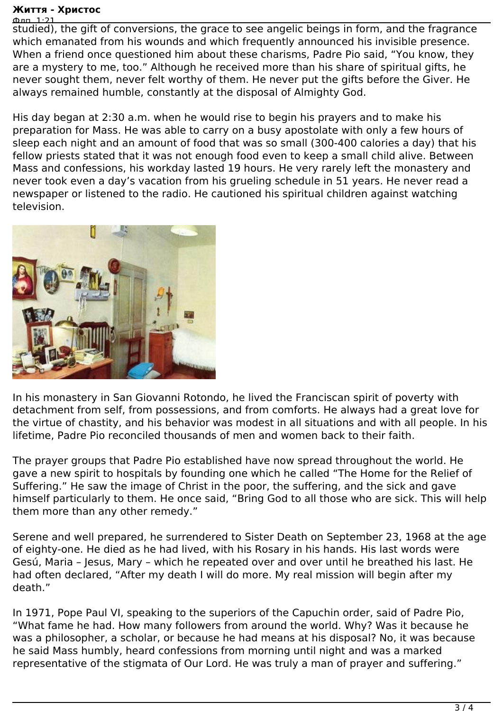## **Життя - Христос**

Флп. 1:21 studied), the gift of conversions, the grace to see angelic beings in form, and the fragrance which emanated from his wounds and which frequently announced his invisible presence. When a friend once questioned him about these charisms, Padre Pio said, "You know, they are a mystery to me, too." Although he received more than his share of spiritual gifts, he never sought them, never felt worthy of them. He never put the gifts before the Giver. He always remained humble, constantly at the disposal of Almighty God.

His day began at 2:30 a.m. when he would rise to begin his prayers and to make his preparation for Mass. He was able to carry on a busy apostolate with only a few hours of sleep each night and an amount of food that was so small (300-400 calories a day) that his fellow priests stated that it was not enough food even to keep a small child alive. Between Mass and confessions, his workday lasted 19 hours. He very rarely left the monastery and never took even a day's vacation from his grueling schedule in 51 years. He never read a newspaper or listened to the radio. He cautioned his spiritual children against watching television.



In his monastery in San Giovanni Rotondo, he lived the Franciscan spirit of poverty with detachment from self, from possessions, and from comforts. He always had a great love for the virtue of chastity, and his behavior was modest in all situations and with all people. In his lifetime, Padre Pio reconciled thousands of men and women back to their faith.

The prayer groups that Padre Pio established have now spread throughout the world. He gave a new spirit to hospitals by founding one which he called "The Home for the Relief of Suffering." He saw the image of Christ in the poor, the suffering, and the sick and gave himself particularly to them. He once said, "Bring God to all those who are sick. This will help them more than any other remedy."

Serene and well prepared, he surrendered to Sister Death on September 23, 1968 at the age of eighty-one. He died as he had lived, with his Rosary in his hands. His last words were Gesú, Maria – Jesus, Mary – which he repeated over and over until he breathed his last. He had often declared, "After my death I will do more. My real mission will begin after my death."

In 1971, Pope Paul VI, speaking to the superiors of the Capuchin order, said of Padre Pio, "What fame he had. How many followers from around the world. Why? Was it because he was a philosopher, a scholar, or because he had means at his disposal? No, it was because he said Mass humbly, heard confessions from morning until night and was a marked representative of the stigmata of Our Lord. He was truly a man of prayer and suffering."